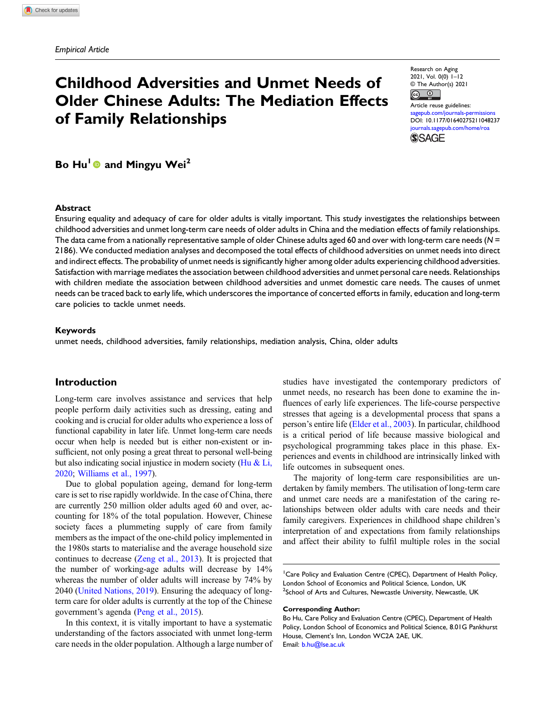# Childhood Adversities and Unmet Needs of Older Chinese Adults: The Mediation Effects of Family Relationships

Research on Aging 2021, Vol. 0(0) 1–12 © The Author(s) 2021



Article reuse guidelines: [sagepub.com/journals-permissions](https://us.sagepub.com/en-us/journals-permissions) DOI: [10.1177/01640275211048237](https://doi.org/10.1177/01640275211048237) [journals.sagepub.com/home/roa](https://journals.sagepub.com/home/roa) **SSAGE** 

Bo Hu<sup>1</sup> $\bullet$  and Mingyu Wei<sup>2</sup>

#### Abstract

Ensuring equality and adequacy of care for older adults is vitally important. This study investigates the relationships between childhood adversities and unmet long-term care needs of older adults in China and the mediation effects of family relationships. The data came from a nationally representative sample of older Chinese adults aged 60 and over with long-term care needs ( $N =$ 2186). We conducted mediation analyses and decomposed the total effects of childhood adversities on unmet needs into direct and indirect effects. The probability of unmet needs is significantly higher among older adults experiencing childhood adversities. Satisfaction with marriage mediates the association between childhood adversities and unmet personal care needs. Relationships with children mediate the association between childhood adversities and unmet domestic care needs. The causes of unmet needs can be traced back to early life, which underscores the importance of concerted efforts in family, education and long-term care policies to tackle unmet needs.

#### Keywords

unmet needs, childhood adversities, family relationships, mediation analysis, China, older adults

## Introduction

Long-term care involves assistance and services that help people perform daily activities such as dressing, eating and cooking and is crucial for older adults who experience a loss of functional capability in later life. Unmet long-term care needs occur when help is needed but is either non-existent or insufficient, not only posing a great threat to personal well-being but also indicating social injustice in modern society (Hu  $&$  Li, [2020](#page-10-0); [Williams et al., 1997](#page-11-0)).

Due to global population ageing, demand for long-term care is set to rise rapidly worldwide. In the case of China, there are currently 250 million older adults aged 60 and over, accounting for 18% of the total population. However, Chinese society faces a plummeting supply of care from family members as the impact of the one-child policy implemented in the 1980s starts to materialise and the average household size continues to decrease [\(Zeng et al., 2013](#page-11-1)). It is projected that the number of working-age adults will decrease by 14% whereas the number of older adults will increase by 74% by 2040 [\(United Nations, 2019\)](#page-11-2). Ensuring the adequacy of longterm care for older adults is currently at the top of the Chinese government's agenda ([Peng et al., 2015](#page-10-1)).

In this context, it is vitally important to have a systematic understanding of the factors associated with unmet long-term care needs in the older population. Although a large number of studies have investigated the contemporary predictors of unmet needs, no research has been done to examine the influences of early life experiences. The life-course perspective stresses that ageing is a developmental process that spans a person's entire life ([Elder et al., 2003](#page-10-2)). In particular, childhood is a critical period of life because massive biological and psychological programming takes place in this phase. Experiences and events in childhood are intrinsically linked with life outcomes in subsequent ones.

The majority of long-term care responsibilities are undertaken by family members. The utilisation of long-term care and unmet care needs are a manifestation of the caring relationships between older adults with care needs and their family caregivers. Experiences in childhood shape children's interpretation of and expectations from family relationships and affect their ability to fulfil multiple roles in the social

#### Corresponding Author:

<sup>&</sup>lt;sup>1</sup>Care Policy and Evaluation Centre (CPEC), Department of Health Policy, London School of Economics and Political Science, London, UK  $^2$ School of Arts and Cultures, Newcastle University, Newcastle, UK

Bo Hu, Care Policy and Evaluation Centre (CPEC), Department of Health Policy, London School of Economics and Political Science, 8.01G Pankhurst House, Clement's Inn, London WC2A 2AE, UK. Email: [b.hu@lse.ac.uk](mailto:b.hu@lse.ac.uk)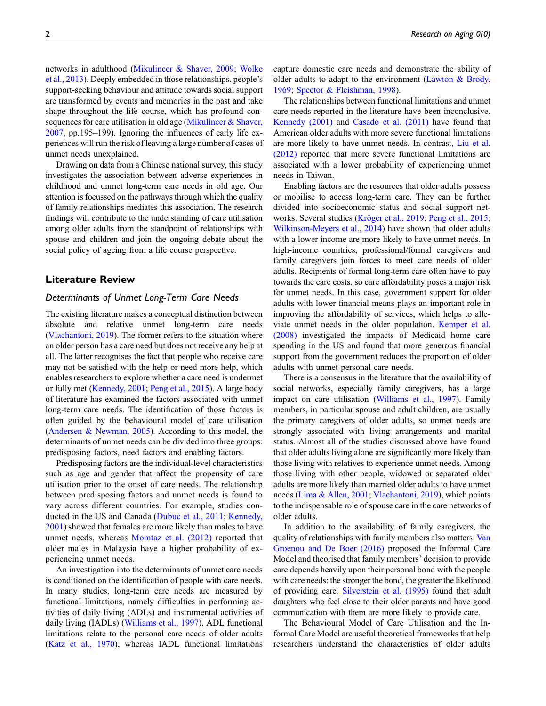networks in adulthood ([Mikulincer & Shaver, 2009](#page-10-3); [Wolke](#page-11-3) [et al., 2013\)](#page-11-3). Deeply embedded in those relationships, people's support-seeking behaviour and attitude towards social support are transformed by events and memories in the past and take shape throughout the life course, which has profound con-sequences for care utilisation in old age ([Mikulincer & Shaver,](#page-10-4) [2007](#page-10-4), pp.195–199). Ignoring the influences of early life experiences will run the risk of leaving a large number of cases of unmet needs unexplained.

Drawing on data from a Chinese national survey, this study investigates the association between adverse experiences in childhood and unmet long-term care needs in old age. Our attention is focussed on the pathways through which the quality of family relationships mediates this association. The research findings will contribute to the understanding of care utilisation among older adults from the standpoint of relationships with spouse and children and join the ongoing debate about the social policy of ageing from a life course perspective.

## Literature Review

## Determinants of Unmet Long-Term Care Needs

The existing literature makes a conceptual distinction between absolute and relative unmet long-term care needs [\(Vlachantoni, 2019\)](#page-11-4). The former refers to the situation where an older person has a care need but does not receive any help at all. The latter recognises the fact that people who receive care may not be satisfied with the help or need more help, which enables researchers to explore whether a care need is undermet or fully met [\(Kennedy, 2001](#page-10-5); [Peng et al., 2015\)](#page-10-1). A large body of literature has examined the factors associated with unmet long-term care needs. The identification of those factors is often guided by the behavioural model of care utilisation [\(Andersen & Newman, 2005\)](#page-9-0). According to this model, the determinants of unmet needs can be divided into three groups: predisposing factors, need factors and enabling factors.

Predisposing factors are the individual-level characteristics such as age and gender that affect the propensity of care utilisation prior to the onset of care needs. The relationship between predisposing factors and unmet needs is found to vary across different countries. For example, studies conducted in the US and Canada ([Dubuc et al., 2011;](#page-10-6) [Kennedy,](#page-10-5) [2001](#page-10-5)) showed that females are more likely than males to have unmet needs, whereas [Momtaz et al. \(2012\)](#page-10-7) reported that older males in Malaysia have a higher probability of experiencing unmet needs.

An investigation into the determinants of unmet care needs is conditioned on the identification of people with care needs. In many studies, long-term care needs are measured by functional limitations, namely difficulties in performing activities of daily living (ADLs) and instrumental activities of daily living (IADLs) ([Williams et al., 1997\)](#page-11-0). ADL functional limitations relate to the personal care needs of older adults [\(Katz et al., 1970\)](#page-10-8), whereas IADL functional limitations

capture domestic care needs and demonstrate the ability of older adults to adapt to the environment (Lawton  $\&$  Brody, [1969;](#page-10-9) [Spector & Fleishman, 1998](#page-10-10)).

The relationships between functional limitations and unmet care needs reported in the literature have been inconclusive. [Kennedy \(2001\)](#page-10-5) and [Casado et al. \(2011\)](#page-10-11) have found that American older adults with more severe functional limitations are more likely to have unmet needs. In contrast, [Liu et al.](#page-10-12) [\(2012\)](#page-10-12) reported that more severe functional limitations are associated with a lower probability of experiencing unmet needs in Taiwan.

Enabling factors are the resources that older adults possess or mobilise to access long-term care. They can be further divided into socioeconomic status and social support net-works. Several studies (Kröger et al., 2019; [Peng et al., 2015;](#page-10-1) [Wilkinson-Meyers et al., 2014\)](#page-11-5) have shown that older adults with a lower income are more likely to have unmet needs. In high-income countries, professional/formal caregivers and family caregivers join forces to meet care needs of older adults. Recipients of formal long-term care often have to pay towards the care costs, so care affordability poses a major risk for unmet needs. In this case, government support for older adults with lower financial means plays an important role in improving the affordability of services, which helps to alleviate unmet needs in the older population. [Kemper et al.](#page-10-14) [\(2008\)](#page-10-14) investigated the impacts of Medicaid home care spending in the US and found that more generous financial support from the government reduces the proportion of older adults with unmet personal care needs.

There is a consensus in the literature that the availability of social networks, especially family caregivers, has a large impact on care utilisation [\(Williams et al., 1997\)](#page-11-0). Family members, in particular spouse and adult children, are usually the primary caregivers of older adults, so unmet needs are strongly associated with living arrangements and marital status. Almost all of the studies discussed above have found that older adults living alone are significantly more likely than those living with relatives to experience unmet needs. Among those living with other people, widowed or separated older adults are more likely than married older adults to have unmet needs ([Lima & Allen, 2001;](#page-10-15) [Vlachantoni, 2019\)](#page-11-4), which points to the indispensable role of spouse care in the care networks of older adults.

In addition to the availability of family caregivers, the quality of relationships with family members also matters. [Van](#page-11-6) [Groenou and De Boer \(2016\)](#page-11-6) proposed the Informal Care Model and theorised that family members' decision to provide care depends heavily upon their personal bond with the people with care needs: the stronger the bond, the greater the likelihood of providing care. [Silverstein et al. \(1995\)](#page-10-16) found that adult daughters who feel close to their older parents and have good communication with them are more likely to provide care.

The Behavioural Model of Care Utilisation and the Informal Care Model are useful theoretical frameworks that help researchers understand the characteristics of older adults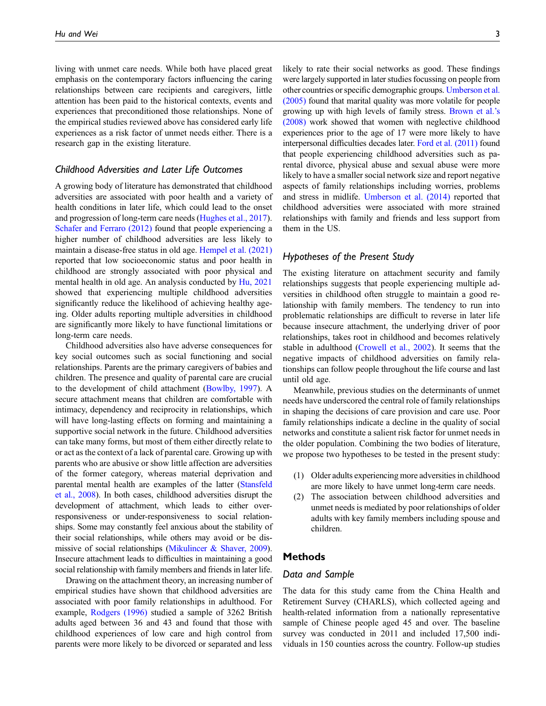living with unmet care needs. While both have placed great emphasis on the contemporary factors influencing the caring relationships between care recipients and caregivers, little attention has been paid to the historical contexts, events and experiences that preconditioned those relationships. None of the empirical studies reviewed above has considered early life experiences as a risk factor of unmet needs either. There is a research gap in the existing literature.

## Childhood Adversities and Later Life Outcomes

A growing body of literature has demonstrated that childhood adversities are associated with poor health and a variety of health conditions in later life, which could lead to the onset and progression of long-term care needs ([Hughes et al., 2017\)](#page-10-17). [Schafer and Ferraro \(2012\)](#page-10-18) found that people experiencing a higher number of childhood adversities are less likely to maintain a disease-free status in old age. [Hempel et al. \(2021\)](#page-10-19) reported that low socioeconomic status and poor health in childhood are strongly associated with poor physical and mental health in old age. An analysis conducted by [Hu, 2021](#page-10-20) showed that experiencing multiple childhood adversities significantly reduce the likelihood of achieving healthy ageing. Older adults reporting multiple adversities in childhood are significantly more likely to have functional limitations or long-term care needs.

Childhood adversities also have adverse consequences for key social outcomes such as social functioning and social relationships. Parents are the primary caregivers of babies and children. The presence and quality of parental care are crucial to the development of child attachment [\(Bowlby, 1997](#page-9-1)). A secure attachment means that children are comfortable with intimacy, dependency and reciprocity in relationships, which will have long-lasting effects on forming and maintaining a supportive social network in the future. Childhood adversities can take many forms, but most of them either directly relate to or act as the context of a lack of parental care. Growing up with parents who are abusive or show little affection are adversities of the former category, whereas material deprivation and parental mental health are examples of the latter [\(Stansfeld](#page-11-7) [et al., 2008](#page-11-7)). In both cases, childhood adversities disrupt the development of attachment, which leads to either overresponsiveness or under-responsiveness to social relationships. Some may constantly feel anxious about the stability of their social relationships, while others may avoid or be dismissive of social relationships [\(Mikulincer & Shaver, 2009\)](#page-10-3). Insecure attachment leads to difficulties in maintaining a good social relationship with family members and friends in later life.

Drawing on the attachment theory, an increasing number of empirical studies have shown that childhood adversities are associated with poor family relationships in adulthood. For example, [Rodgers \(1996\)](#page-10-21) studied a sample of 3262 British adults aged between 36 and 43 and found that those with childhood experiences of low care and high control from parents were more likely to be divorced or separated and less

likely to rate their social networks as good. These findings were largely supported in later studies focussing on people from other countries or specific demographic groups. [Umberson et al.](#page-11-8) [\(2005\)](#page-11-8) found that marital quality was more volatile for people growing up with high levels of family stress. [Brown et al.](#page-9-2)'s [\(2008\)](#page-9-2) work showed that women with neglective childhood experiences prior to the age of 17 were more likely to have interpersonal difficulties decades later. [Ford et al. \(2011\)](#page-10-22) found that people experiencing childhood adversities such as parental divorce, physical abuse and sexual abuse were more likely to have a smaller social network size and report negative aspects of family relationships including worries, problems and stress in midlife. [Umberson et al. \(2014\)](#page-11-9) reported that childhood adversities were associated with more strained relationships with family and friends and less support from them in the US.

## Hypotheses of the Present Study

The existing literature on attachment security and family relationships suggests that people experiencing multiple adversities in childhood often struggle to maintain a good relationship with family members. The tendency to run into problematic relationships are difficult to reverse in later life because insecure attachment, the underlying driver of poor relationships, takes root in childhood and becomes relatively stable in adulthood ([Crowell et al., 2002\)](#page-10-23). It seems that the negative impacts of childhood adversities on family relationships can follow people throughout the life course and last until old age.

Meanwhile, previous studies on the determinants of unmet needs have underscored the central role of family relationships in shaping the decisions of care provision and care use. Poor family relationships indicate a decline in the quality of social networks and constitute a salient risk factor for unmet needs in the older population. Combining the two bodies of literature, we propose two hypotheses to be tested in the present study:

- (1) Older adults experiencing more adversities in childhood are more likely to have unmet long-term care needs.
- (2) The association between childhood adversities and unmet needs is mediated by poor relationships of older adults with key family members including spouse and children.

## Methods

## Data and Sample

The data for this study came from the China Health and Retirement Survey (CHARLS), which collected ageing and health-related information from a nationally representative sample of Chinese people aged 45 and over. The baseline survey was conducted in 2011 and included 17,500 individuals in 150 counties across the country. Follow-up studies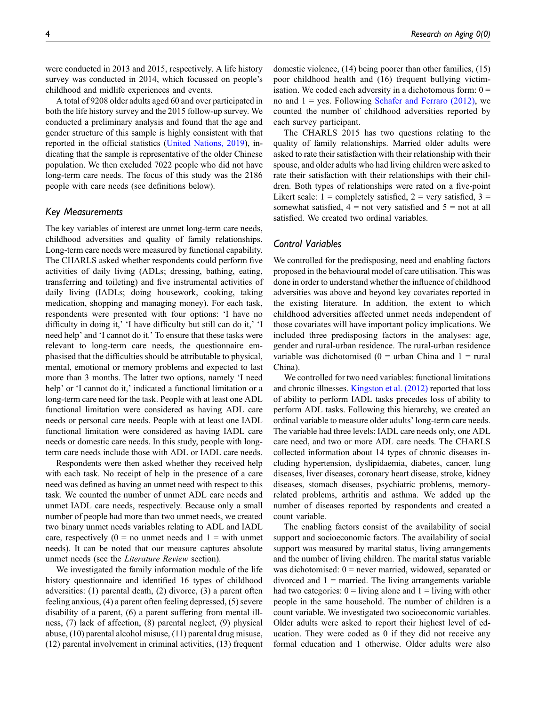were conducted in 2013 and 2015, respectively. A life history survey was conducted in 2014, which focussed on people's childhood and midlife experiences and events.

A total of 9208 older adults aged 60 and over participated in both the life history survey and the 2015 follow-up survey. We conducted a preliminary analysis and found that the age and gender structure of this sample is highly consistent with that reported in the official statistics ([United Nations, 2019](#page-11-2)), indicating that the sample is representative of the older Chinese population. We then excluded 7022 people who did not have long-term care needs. The focus of this study was the 2186 people with care needs (see definitions below).

## Key Measurements

The key variables of interest are unmet long-term care needs, childhood adversities and quality of family relationships. Long-term care needs were measured by functional capability. The CHARLS asked whether respondents could perform five activities of daily living (ADLs; dressing, bathing, eating, transferring and toileting) and five instrumental activities of daily living (IADLs; doing housework, cooking, taking medication, shopping and managing money). For each task, respondents were presented with four options: 'I have no difficulty in doing it,' 'I have difficulty but still can do it,' 'I need help' and 'I cannot do it.' To ensure that these tasks were relevant to long-term care needs, the questionnaire emphasised that the difficulties should be attributable to physical, mental, emotional or memory problems and expected to last more than 3 months. The latter two options, namely 'I need help' or 'I cannot do it,' indicated a functional limitation or a long-term care need for the task. People with at least one ADL functional limitation were considered as having ADL care needs or personal care needs. People with at least one IADL functional limitation were considered as having IADL care needs or domestic care needs. In this study, people with longterm care needs include those with ADL or IADL care needs.

Respondents were then asked whether they received help with each task. No receipt of help in the presence of a care need was defined as having an unmet need with respect to this task. We counted the number of unmet ADL care needs and unmet IADL care needs, respectively. Because only a small number of people had more than two unmet needs, we created two binary unmet needs variables relating to ADL and IADL care, respectively  $(0 = no$  unmet needs and  $1 = with$  unmet needs). It can be noted that our measure captures absolute unmet needs (see the Literature Review section).

We investigated the family information module of the life history questionnaire and identified 16 types of childhood adversities: (1) parental death, (2) divorce, (3) a parent often feeling anxious, (4) a parent often feeling depressed, (5) severe disability of a parent, (6) a parent suffering from mental illness, (7) lack of affection, (8) parental neglect, (9) physical abuse, (10) parental alcohol misuse, (11) parental drug misuse, (12) parental involvement in criminal activities, (13) frequent

domestic violence, (14) being poorer than other families, (15) poor childhood health and (16) frequent bullying victimisation. We coded each adversity in a dichotomous form:  $0 =$ no and  $1 = yes$ . Following [Schafer and Ferraro \(2012\),](#page-10-18) we counted the number of childhood adversities reported by each survey participant.

The CHARLS 2015 has two questions relating to the quality of family relationships. Married older adults were asked to rate their satisfaction with their relationship with their spouse, and older adults who had living children were asked to rate their satisfaction with their relationships with their children. Both types of relationships were rated on a five-point Likert scale:  $1 =$  completely satisfied,  $2 =$  very satisfied,  $3 =$ somewhat satisfied,  $4 = not$  very satisfied and  $5 = not$  at all satisfied. We created two ordinal variables.

## Control Variables

We controlled for the predisposing, need and enabling factors proposed in the behavioural model of care utilisation. This was done in order to understand whether the influence of childhood adversities was above and beyond key covariates reported in the existing literature. In addition, the extent to which childhood adversities affected unmet needs independent of those covariates will have important policy implications. We included three predisposing factors in the analyses: age, gender and rural-urban residence. The rural-urban residence variable was dichotomised ( $0 =$ urban China and  $1 =$ rural China).

We controlled for two need variables: functional limitations and chronic illnesses. [Kingston et al. \(2012\)](#page-10-24) reported that loss of ability to perform IADL tasks precedes loss of ability to perform ADL tasks. Following this hierarchy, we created an ordinal variable to measure older adults' long-term care needs. The variable had three levels: IADL care needs only, one ADL care need, and two or more ADL care needs. The CHARLS collected information about 14 types of chronic diseases including hypertension, dyslipidaemia, diabetes, cancer, lung diseases, liver diseases, coronary heart disease, stroke, kidney diseases, stomach diseases, psychiatric problems, memoryrelated problems, arthritis and asthma. We added up the number of diseases reported by respondents and created a count variable.

The enabling factors consist of the availability of social support and socioeconomic factors. The availability of social support was measured by marital status, living arrangements and the number of living children. The marital status variable was dichotomised:  $0 =$  never married, widowed, separated or divorced and  $1 =$  married. The living arrangements variable had two categories:  $0 =$  living alone and  $1 =$  living with other people in the same household. The number of children is a count variable. We investigated two socioeconomic variables. Older adults were asked to report their highest level of education. They were coded as 0 if they did not receive any formal education and 1 otherwise. Older adults were also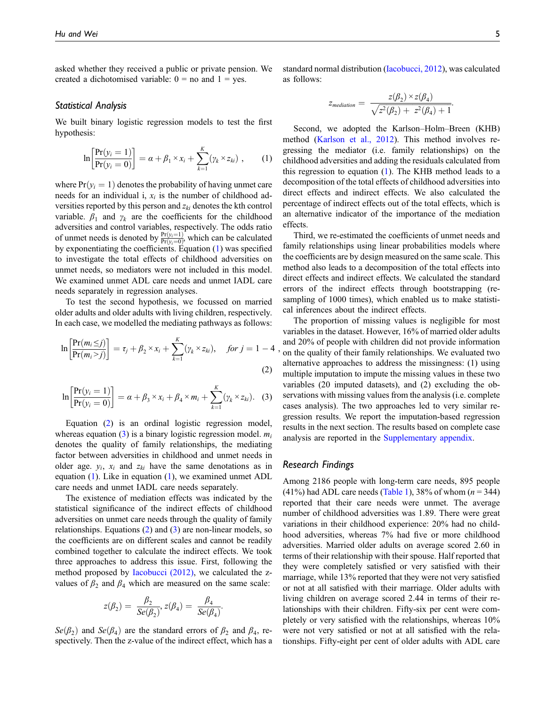asked whether they received a public or private pension. We created a dichotomised variable:  $0 =$  no and  $1 =$  yes.

#### Statistical Analysis

<span id="page-4-0"></span>We built binary logistic regression models to test the first hypothesis:

$$
\ln\left[\frac{\Pr(y_i=1)}{\Pr(y_i=0)}\right] = \alpha + \beta_1 \times x_i + \sum_{k=1}^K (\gamma_k \times z_{ki}), \qquad (1)
$$

where  $Pr(y_i = 1)$  denotes the probability of having unmet care needs for an individual i,  $x_i$  is the number of childhood adversities reported by this person and  $z_{ki}$  denotes the kth control variable.  $\beta_1$  and  $\gamma_k$  are the coefficients for the childhood adversities and control variables, respectively. The odds ratio of unmet needs is denoted by  $\frac{Pr(y_i=1)}{Pr(y_i=0)}$ , which can be calculated by exponentiating the coefficients. Equation ([1\)](#page-4-0) was specified to investigate the total effects of childhood adversities on unmet needs, so mediators were not included in this model. We examined unmet ADL care needs and unmet IADL care needs separately in regression analyses.

To test the second hypothesis, we focussed on married older adults and older adults with living children, respectively. In each case, we modelled the mediating pathways as follows:

<span id="page-4-1"></span>
$$
\ln\left[\frac{\Pr(m_i\leq j)}{\Pr(m_i>j)}\right]=\tau_j+\beta_2\times x_i+\sum_{k=1}^K(\gamma_k\times z_{ki}),\quad \text{for }j=1-4,
$$
\n(2)

<span id="page-4-2"></span>
$$
\ln\left[\frac{\Pr(y_i=1)}{\Pr(y_i=0)}\right] = \alpha + \beta_3 \times x_i + \beta_4 \times m_i + \sum_{k=1}^K (\gamma_k \times z_{ki}).
$$
 (3)

Equation ([2\)](#page-4-1) is an ordinal logistic regression model, whereas equation ([3\)](#page-4-2) is a binary logistic regression model.  $m_i$ denotes the quality of family relationships, the mediating factor between adversities in childhood and unmet needs in older age.  $y_i$ ,  $x_i$  and  $z_{ki}$  have the same denotations as in equation [\(1](#page-4-0)). Like in equation ([1\)](#page-4-0), we examined unmet ADL care needs and unmet IADL care needs separately.

The existence of mediation effects was indicated by the statistical significance of the indirect effects of childhood adversities on unmet care needs through the quality of family relationships. Equations  $(2)$  $(2)$  and  $(3)$  $(3)$  are non-linear models, so the coefficients are on different scales and cannot be readily combined together to calculate the indirect effects. We took three approaches to address this issue. First, following the method proposed by [Iacobucci \(2012\)](#page-10-25), we calculated the zvalues of  $\beta_2$  and  $\beta_4$  which are measured on the same scale:

$$
z(\beta_2) = \frac{\beta_2}{Se(\beta_2)}, z(\beta_4) = \frac{\beta_4}{Se(\beta_4)}.
$$

 $Se(\beta_2)$  and  $Se(\beta_4)$  are the standard errors of  $\beta_2$  and  $\beta_4$ , respectively. Then the z-value of the indirect effect, which has a standard normal distribution [\(Iacobucci, 2012](#page-10-25)), was calculated as follows:

$$
z_{\text{median}} = \frac{z(\beta_2) \times z(\beta_4)}{\sqrt{z^2(\beta_2) + z^2(\beta_4) + 1}}.
$$

Second, we adopted the Karlson–Holm–Breen (KHB) method ([Karlson et al., 2012](#page-10-26)). This method involves regressing the mediator (i.e. family relationships) on the childhood adversities and adding the residuals calculated from this regression to equation  $(1)$  $(1)$ . The KHB method leads to a decomposition of the total effects of childhood adversities into direct effects and indirect effects. We also calculated the percentage of indirect effects out of the total effects, which is an alternative indicator of the importance of the mediation effects.

Third, we re-estimated the coefficients of unmet needs and family relationships using linear probabilities models where the coefficients are by design measured on the same scale. This method also leads to a decomposition of the total effects into direct effects and indirect effects. We calculated the standard errors of the indirect effects through bootstrapping (resampling of 1000 times), which enabled us to make statistical inferences about the indirect effects.

The proportion of missing values is negligible for most variables in the dataset. However, 16% of married older adults and 20% of people with children did not provide information on the quality of their family relationships. We evaluated two alternative approaches to address the missingness: (1) using multiple imputation to impute the missing values in these two variables (20 imputed datasets), and (2) excluding the observations with missing values from the analysis (i.e. complete cases analysis). The two approaches led to very similar regression results. We report the imputation-based regression results in the next section. The results based on complete case analysis are reported in the [Supplementary appendix.](https://journals.sagepub.com/doi/suppl/10.1177/23978473211047164)

### Research Findings

Among 2186 people with long-term care needs, 895 people (41%) had ADL care needs ([Table 1\)](#page-5-0), 38% of whom  $(n = 344)$ reported that their care needs were unmet. The average number of childhood adversities was 1.89. There were great variations in their childhood experience: 20% had no childhood adversities, whereas 7% had five or more childhood adversities. Married older adults on average scored 2.60 in terms of their relationship with their spouse. Half reported that they were completely satisfied or very satisfied with their marriage, while 13% reported that they were not very satisfied or not at all satisfied with their marriage. Older adults with living children on average scored 2.44 in terms of their relationships with their children. Fifty-six per cent were completely or very satisfied with the relationships, whereas 10% were not very satisfied or not at all satisfied with the relationships. Fifty-eight per cent of older adults with ADL care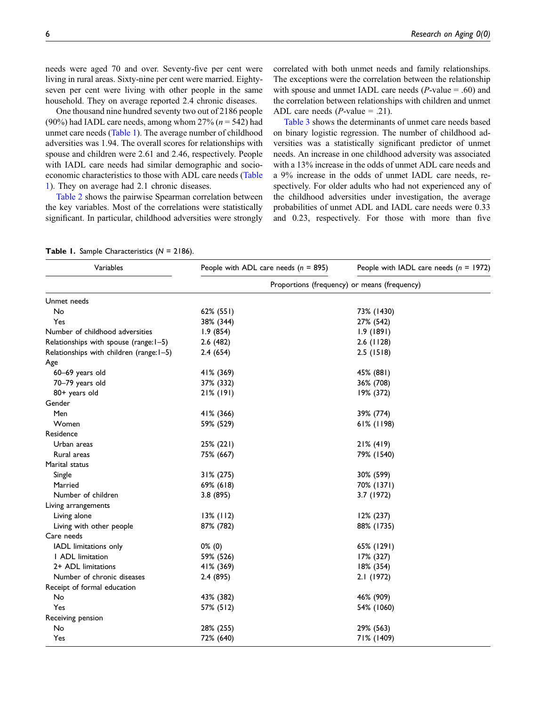needs were aged 70 and over. Seventy-five per cent were living in rural areas. Sixty-nine per cent were married. Eightyseven per cent were living with other people in the same household. They on average reported 2.4 chronic diseases.

One thousand nine hundred seventy two out of 2186 people (90%) had IADL care needs, among whom  $27\%$  ( $n = 542$ ) had unmet care needs ([Table 1\)](#page-5-0). The average number of childhood adversities was 1.94. The overall scores for relationships with spouse and children were 2.61 and 2.46, respectively. People with IADL care needs had similar demographic and socioeconomic characteristics to those with ADL care needs ([Table](#page-5-0) [1](#page-5-0)). They on average had 2.1 chronic diseases.

[Table 2](#page-6-0) shows the pairwise Spearman correlation between the key variables. Most of the correlations were statistically significant. In particular, childhood adversities were strongly correlated with both unmet needs and family relationships. The exceptions were the correlation between the relationship with spouse and unmet IADL care needs  $(P$ -value = .60) and the correlation between relationships with children and unmet ADL care needs  $(P-value = .21)$ .

[Table 3](#page-6-1) shows the determinants of unmet care needs based on binary logistic regression. The number of childhood adversities was a statistically significant predictor of unmet needs. An increase in one childhood adversity was associated with a 13% increase in the odds of unmet ADL care needs and a 9% increase in the odds of unmet IADL care needs, respectively. For older adults who had not experienced any of the childhood adversities under investigation, the average probabilities of unmet ADL and IADL care needs were 0.33 and 0.23, respectively. For those with more than five

<span id="page-5-0"></span>

|  | Table 1. Sample Characteristics $(N = 2186)$ . |  |
|--|------------------------------------------------|--|

| Variables                                | People with ADL care needs $(n = 895)$       | People with IADL care needs $(n = 1972)$ |  |  |
|------------------------------------------|----------------------------------------------|------------------------------------------|--|--|
|                                          | Proportions (frequency) or means (frequency) |                                          |  |  |
| Unmet needs                              |                                              |                                          |  |  |
| No                                       | 62% (551)                                    | 73% (1430)                               |  |  |
| Yes                                      | 38% (344)                                    | 27% (542)                                |  |  |
| Number of childhood adversities          | 1.9(854)                                     | 1.9(1891)                                |  |  |
| Relationships with spouse (range: I-5)   | 2.6(482)                                     | $2.6$ (1128)                             |  |  |
| Relationships with children (range: I-5) | 2.4(654)                                     | 2.5(1518)                                |  |  |
| Age                                      |                                              |                                          |  |  |
| 60-69 years old                          | 41% (369)                                    | 45% (881)                                |  |  |
| 70-79 years old                          | 37% (332)                                    | 36% (708)                                |  |  |
| 80+ years old                            | 21% (191)                                    | 19% (372)                                |  |  |
| Gender                                   |                                              |                                          |  |  |
| Men                                      | 41% (366)                                    | 39% (774)                                |  |  |
| Women                                    | 59% (529)                                    | 61% (1198)                               |  |  |
| Residence                                |                                              |                                          |  |  |
| Urban areas                              | 25% (221)                                    | $21\%$ (419)                             |  |  |
| Rural areas                              | 75% (667)                                    | 79% (1540)                               |  |  |
| Marital status                           |                                              |                                          |  |  |
| Single                                   | $31\% (275)$                                 | 30% (599)                                |  |  |
| Married                                  | 69% (618)                                    | 70% (1371)                               |  |  |
| Number of children                       | 3.8(895)                                     | 3.7 (1972)                               |  |  |
| Living arrangements                      |                                              |                                          |  |  |
| Living alone                             | $13\%$ (112)                                 | $12\% (237)$                             |  |  |
| Living with other people                 | 87% (782)                                    | 88% (1735)                               |  |  |
| Care needs                               |                                              |                                          |  |  |
| IADL limitations only                    | $0\%$ (0)                                    | 65% (1291)                               |  |  |
| 1 ADL limitation                         | 59% (526)                                    | 17% (327)                                |  |  |
| 2+ ADL limitations                       | 41% (369)                                    | 18% (354)                                |  |  |
| Number of chronic diseases               | 2.4(895)                                     | 2.1 (1972)                               |  |  |
| Receipt of formal education              |                                              |                                          |  |  |
| No                                       | 43% (382)                                    | 46% (909)                                |  |  |
| Yes                                      | 57% (512)                                    | 54% (1060)                               |  |  |
| Receiving pension                        |                                              |                                          |  |  |
| No                                       | 28% (255)                                    | 29% (563)                                |  |  |
| Yes                                      | 72% (640)                                    | 71% (1409)                               |  |  |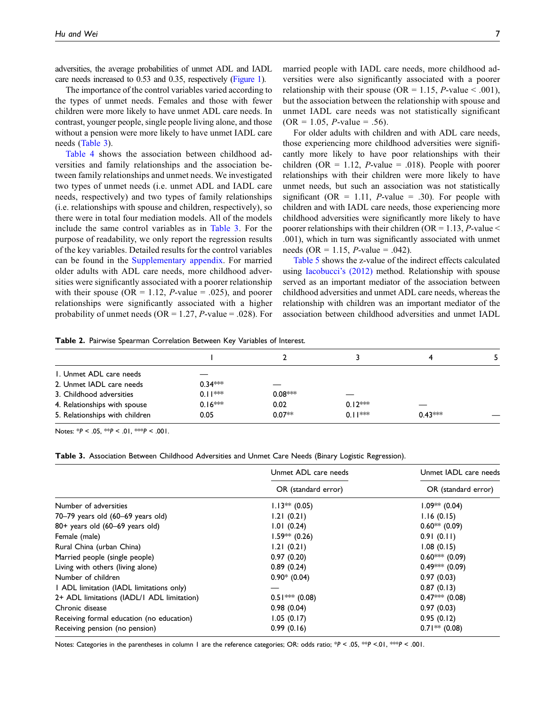adversities, the average probabilities of unmet ADL and IADL care needs increased to 0.53 and 0.35, respectively [\(Figure 1](#page-7-0)).

The importance of the control variables varied according to the types of unmet needs. Females and those with fewer children were more likely to have unmet ADL care needs. In contrast, younger people, single people living alone, and those without a pension were more likely to have unmet IADL care needs ([Table 3](#page-6-1)).

[Table 4](#page-7-1) shows the association between childhood adversities and family relationships and the association between family relationships and unmet needs. We investigated two types of unmet needs (i.e. unmet ADL and IADL care needs, respectively) and two types of family relationships (i.e. relationships with spouse and children, respectively), so there were in total four mediation models. All of the models include the same control variables as in [Table 3.](#page-6-1) For the purpose of readability, we only report the regression results of the key variables. Detailed results for the control variables can be found in the [Supplementary appendix](https://journals.sagepub.com/doi/suppl/10.1177/23978473211047164). For married older adults with ADL care needs, more childhood adversities were significantly associated with a poorer relationship with their spouse (OR = 1.12, *P*-value = .025), and poorer relationships were significantly associated with a higher probability of unmet needs (OR =  $1.27$ , *P*-value = .028). For married people with IADL care needs, more childhood adversities were also significantly associated with a poorer relationship with their spouse (OR = 1.15,  $P$ -value < .001), but the association between the relationship with spouse and unmet IADL care needs was not statistically significant  $(OR = 1.05, P-value = .56)$ .

For older adults with children and with ADL care needs, those experiencing more childhood adversities were significantly more likely to have poor relationships with their children (OR = 1.12, *P*-value = .018). People with poorer relationships with their children were more likely to have unmet needs, but such an association was not statistically significant (OR = 1.11, *P*-value = .30). For people with children and with IADL care needs, those experiencing more childhood adversities were significantly more likely to have poorer relationships with their children (OR = 1.13,  $P$ -value < .001), which in turn was significantly associated with unmet needs (OR = 1.15, *P*-value = .042).

[Table 5](#page-8-0) shows the z-value of the indirect effects calculated using [Iacobucci](#page-10-25)'s (2012) method. Relationship with spouse served as an important mediator of the association between childhood adversities and unmet ADL care needs, whereas the relationship with children was an important mediator of the association between childhood adversities and unmet IADL

Table 2. Pairwise Spearman Correlation Between Key Variables of Interest.

| 1. Unmet ADL care needs        |           |           |           |           |  |
|--------------------------------|-----------|-----------|-----------|-----------|--|
| 2. Unmet IADL care needs       | $0.34***$ |           |           |           |  |
| 3. Childhood adversities       | $0.11***$ | $0.08***$ |           |           |  |
| 4. Relationships with spouse   | $0.16***$ | 0.02      | $0.12***$ |           |  |
| 5. Relationships with children | 0.05      | $0.07**$  | $0.11***$ | $0.43***$ |  |

<span id="page-6-0"></span>Notes: \* $P < .05$ , \*\* $P < .01$ , \*\* $P < .001$ .

Table 3. Association Between Childhood Adversities and Unmet Care Needs (Binary Logistic Regression).

|                                            | Unmet ADL care needs | Unmet IADL care needs |  |
|--------------------------------------------|----------------------|-----------------------|--|
|                                            | OR (standard error)  | OR (standard error)   |  |
| Number of adversities                      | $1.13** (0.05)$      | $1.09** (0.04)$       |  |
| 70-79 years old (60-69 years old)          | 1.21(0.21)           | 1.16(0.15)            |  |
| 80+ years old (60–69 years old)            | 1.01(0.24)           | $0.60** (0.09)$       |  |
| Female (male)                              | $1.59** (0.26)$      | 0.91(0.11)            |  |
| Rural China (urban China)                  | 1.21(0.21)           | 1.08(0.15)            |  |
| Married people (single people)             | 0.97(0.20)           | $0.60***(0.09)$       |  |
| Living with others (living alone)          | 0.89(0.24)           | $0.49***$ (0.09)      |  |
| Number of children                         | $0.90*$ (0.04)       | 0.97(0.03)            |  |
| I ADL limitation (IADL limitations only)   |                      | 0.87(0.13)            |  |
| 2+ ADL limitations (IADL/I ADL limitation) | $0.51***(0.08)$      | $0.47***$ (0.08)      |  |
| Chronic disease                            | 0.98(0.04)           | 0.97(0.03)            |  |
| Receiving formal education (no education)  | 1.05(0.17)           | 0.95(0.12)            |  |
| Receiving pension (no pension)             | 0.99(0.16)           | $0.71**$ (0.08)       |  |

<span id="page-6-1"></span>Notes: Categories in the parentheses in column 1 are the reference categories; OR: odds ratio; \*P < .05, \*\*P < .01, \*\*P < .001.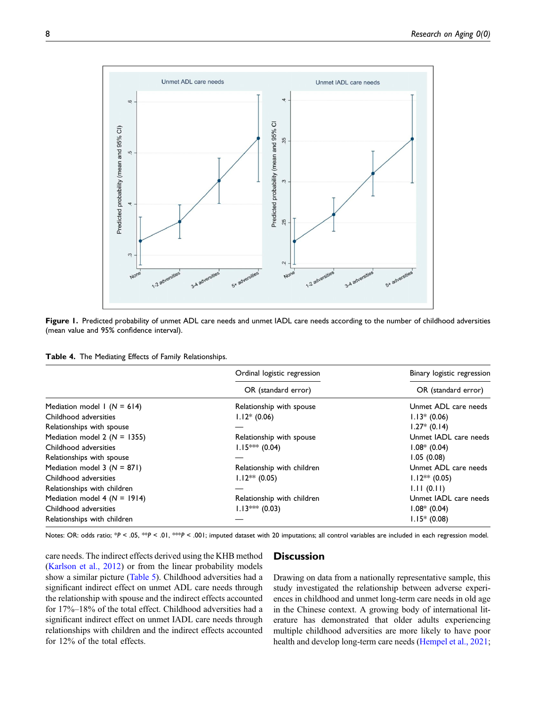

<span id="page-7-0"></span>Figure 1. Predicted probability of unmet ADL care needs and unmet IADL care needs according to the number of childhood adversities (mean value and 95% confidence interval).

|  |  | Table 4. The Mediating Effects of Family Relationships. |  |  |  |  |  |  |
|--|--|---------------------------------------------------------|--|--|--|--|--|--|
|--|--|---------------------------------------------------------|--|--|--|--|--|--|

|                                  | Ordinal logistic regression | Binary logistic regression |  |
|----------------------------------|-----------------------------|----------------------------|--|
|                                  | OR (standard error)         | OR (standard error)        |  |
| Mediation model $1 (N = 614)$    | Relationship with spouse    | Unmet ADL care needs       |  |
| Childhood adversities            | $1.12*(0.06)$               | $1.13*(0.06)$              |  |
| Relationships with spouse        |                             | $1.27*$ (0.14)             |  |
| Mediation model 2 ( $N = 1355$ ) | Relationship with spouse    | Unmet IADL care needs      |  |
| Childhood adversities            | $1.15***(0.04)$             | $1.08*$ (0.04)             |  |
| Relationships with spouse        |                             | 1.05(0.08)                 |  |
| Mediation model $3 (N = 871)$    | Relationship with children  | Unmet ADL care needs       |  |
| Childhood adversities            | $1.12***$ (0.05)            | $1.12***$ (0.05)           |  |
| Relationships with children      |                             | 1.11(0.11)                 |  |
| Mediation model 4 ( $N = 1914$ ) | Relationship with children  | Unmet IADL care needs      |  |
| Childhood adversities            | $1.13*** (0.03)$            | $1.08*(0.04)$              |  |
| Relationships with children      |                             | $1.15*(0.08)$              |  |

<span id="page-7-1"></span>Notes: OR: odds ratio; \*P < .05, \*\*P < .01, \*\*P < .001; imputed dataset with 20 imputations; all control variables are included in each regression model.

care needs. The indirect effects derived using the KHB method [\(Karlson et al., 2012\)](#page-10-26) or from the linear probability models show a similar picture [\(Table 5](#page-8-0)). Childhood adversities had a significant indirect effect on unmet ADL care needs through the relationship with spouse and the indirect effects accounted for 17%–18% of the total effect. Childhood adversities had a significant indirect effect on unmet IADL care needs through relationships with children and the indirect effects accounted for 12% of the total effects.

## **Discussion**

Drawing on data from a nationally representative sample, this study investigated the relationship between adverse experiences in childhood and unmet long-term care needs in old age in the Chinese context. A growing body of international literature has demonstrated that older adults experiencing multiple childhood adversities are more likely to have poor health and develop long-term care needs ([Hempel et al., 2021;](#page-10-19)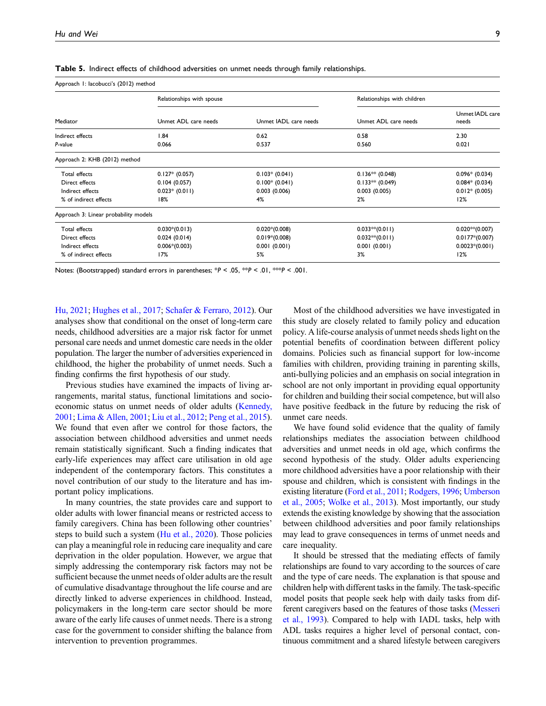Table 5. Indirect effects of childhood adversities on unmet needs through family relationships.

| Approach 1: lacobucci's (2012) method |                           |                       |                             |                          |  |  |
|---------------------------------------|---------------------------|-----------------------|-----------------------------|--------------------------|--|--|
|                                       | Relationships with spouse |                       | Relationships with children |                          |  |  |
| Mediator                              | Unmet ADL care needs      | Unmet IADL care needs | Unmet ADL care needs        | Unmet IADL care<br>needs |  |  |
| Indirect effects                      | 1.84                      | 0.62                  | 0.58                        | 2.30                     |  |  |
| P-value                               | 0.066                     | 0.537                 | 0.560                       | 0.021                    |  |  |
| Approach 2: KHB (2012) method         |                           |                       |                             |                          |  |  |
| Total effects                         | $0.127*$ (0.057)          | $0.103* (0.041)$      | $0.136** (0.048)$           | $0.096*$ (0.034)         |  |  |
| Direct effects                        | 0.104(0.057)              | $0.100* (0.041)$      | $0.133** (0.049)$           | $0.084*$ (0.034)         |  |  |
| Indirect effects                      | $0.023*$ (0.011)          | 0.003(0.006)          | 0.003(0.005)                | $0.012*$ (0.005)         |  |  |
| % of indirect effects                 | 18%                       | 4%                    | 2%                          | 12%                      |  |  |
| Approach 3: Linear probability models |                           |                       |                             |                          |  |  |
| Total effects                         | $0.030*(0.013)$           | $0.020*(0.008)$       | $0.033**$ (0.011)           | $0.020**$ (0.007)        |  |  |
| Direct effects                        | 0.024(0.014)              | $0.019*(0.008)$       | $0.032**$ (0.011)           | $0.0177*(0.007)$         |  |  |
| Indirect effects                      | $0.006*(0.003)$           | 0.001(0.001)          | 0.001(0.001)                | $0.0023*(0.001)$         |  |  |
| % of indirect effects                 | 17%                       | 5%                    | 3%                          | 12%                      |  |  |

<span id="page-8-0"></span>Notes: (Bootstrapped) standard errors in parentheses; \*P < .05, \*\*P < .01, \*\*\*P < .001.

[Hu, 2021;](#page-10-20) [Hughes et al., 2017;](#page-10-17) [Schafer & Ferraro, 2012\)](#page-10-18). Our analyses show that conditional on the onset of long-term care needs, childhood adversities are a major risk factor for unmet personal care needs and unmet domestic care needs in the older population. The larger the number of adversities experienced in childhood, the higher the probability of unmet needs. Such a finding confirms the first hypothesis of our study.

Previous studies have examined the impacts of living arrangements, marital status, functional limitations and socioeconomic status on unmet needs of older adults ([Kennedy,](#page-10-5) [2001;](#page-10-5) [Lima & Allen, 2001;](#page-10-15) [Liu et al., 2012;](#page-10-12) [Peng et al., 2015\)](#page-10-1). We found that even after we control for those factors, the association between childhood adversities and unmet needs remain statistically significant. Such a finding indicates that early-life experiences may affect care utilisation in old age independent of the contemporary factors. This constitutes a novel contribution of our study to the literature and has important policy implications.

In many countries, the state provides care and support to older adults with lower financial means or restricted access to family caregivers. China has been following other countries' steps to build such a system ([Hu et al., 2020](#page-10-27)). Those policies can play a meaningful role in reducing care inequality and care deprivation in the older population. However, we argue that simply addressing the contemporary risk factors may not be sufficient because the unmet needs of older adults are the result of cumulative disadvantage throughout the life course and are directly linked to adverse experiences in childhood. Instead, policymakers in the long-term care sector should be more aware of the early life causes of unmet needs. There is a strong case for the government to consider shifting the balance from intervention to prevention programmes.

Most of the childhood adversities we have investigated in this study are closely related to family policy and education policy. A life-course analysis of unmet needs sheds light on the potential benefits of coordination between different policy domains. Policies such as financial support for low-income families with children, providing training in parenting skills, anti-bullying policies and an emphasis on social integration in school are not only important in providing equal opportunity for children and building their social competence, but will also have positive feedback in the future by reducing the risk of unmet care needs.

We have found solid evidence that the quality of family relationships mediates the association between childhood adversities and unmet needs in old age, which confirms the second hypothesis of the study. Older adults experiencing more childhood adversities have a poor relationship with their spouse and children, which is consistent with findings in the existing literature [\(Ford et al., 2011](#page-10-22); [Rodgers, 1996](#page-10-21); [Umberson](#page-11-8) [et al., 2005](#page-11-8); [Wolke et al., 2013](#page-11-3)). Most importantly, our study extends the existing knowledge by showing that the association between childhood adversities and poor family relationships may lead to grave consequences in terms of unmet needs and care inequality.

It should be stressed that the mediating effects of family relationships are found to vary according to the sources of care and the type of care needs. The explanation is that spouse and children help with different tasks in the family. The task-specific model posits that people seek help with daily tasks from different caregivers based on the features of those tasks [\(Messeri](#page-10-28) [et al., 1993](#page-10-28)). Compared to help with IADL tasks, help with ADL tasks requires a higher level of personal contact, continuous commitment and a shared lifestyle between caregivers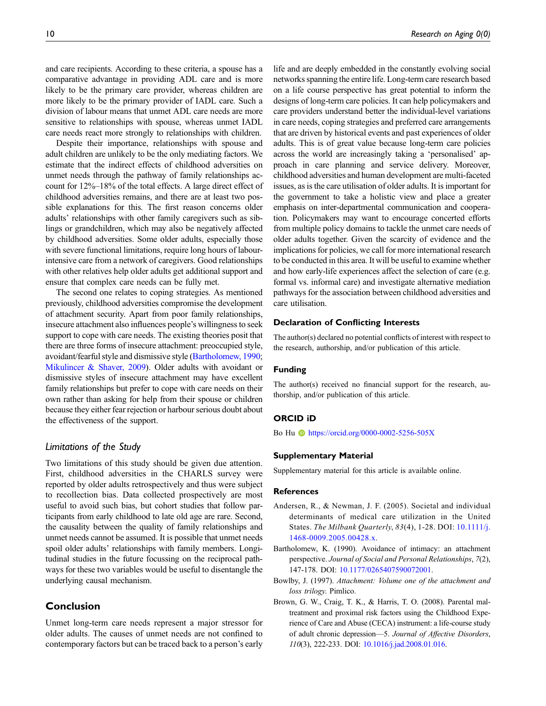and care recipients. According to these criteria, a spouse has a comparative advantage in providing ADL care and is more likely to be the primary care provider, whereas children are more likely to be the primary provider of IADL care. Such a division of labour means that unmet ADL care needs are more sensitive to relationships with spouse, whereas unmet IADL care needs react more strongly to relationships with children.

Despite their importance, relationships with spouse and adult children are unlikely to be the only mediating factors. We estimate that the indirect effects of childhood adversities on unmet needs through the pathway of family relationships account for 12%–18% of the total effects. A large direct effect of childhood adversities remains, and there are at least two possible explanations for this. The first reason concerns older adults' relationships with other family caregivers such as siblings or grandchildren, which may also be negatively affected by childhood adversities. Some older adults, especially those with severe functional limitations, require long hours of labourintensive care from a network of caregivers. Good relationships with other relatives help older adults get additional support and ensure that complex care needs can be fully met.

The second one relates to coping strategies. As mentioned previously, childhood adversities compromise the development of attachment security. Apart from poor family relationships, insecure attachment also influences people's willingness to seek support to cope with care needs. The existing theories posit that there are three forms of insecure attachment: preoccupied style, avoidant/fearful style and dismissive style [\(Bartholomew, 1990;](#page-9-3) [Mikulincer & Shaver, 2009](#page-10-3)). Older adults with avoidant or dismissive styles of insecure attachment may have excellent family relationships but prefer to cope with care needs on their own rather than asking for help from their spouse or children because they either fear rejection or harbour serious doubt about the effectiveness of the support.

## Limitations of the Study

Two limitations of this study should be given due attention. First, childhood adversities in the CHARLS survey were reported by older adults retrospectively and thus were subject to recollection bias. Data collected prospectively are most useful to avoid such bias, but cohort studies that follow participants from early childhood to late old age are rare. Second, the causality between the quality of family relationships and unmet needs cannot be assumed. It is possible that unmet needs spoil older adults' relationships with family members. Longitudinal studies in the future focussing on the reciprocal pathways for these two variables would be useful to disentangle the underlying causal mechanism.

## Conclusion

Unmet long-term care needs represent a major stressor for older adults. The causes of unmet needs are not confined to contemporary factors but can be traced back to a person's early life and are deeply embedded in the constantly evolving social networks spanning the entire life. Long-term care research based on a life course perspective has great potential to inform the designs of long-term care policies. It can help policymakers and care providers understand better the individual-level variations in care needs, coping strategies and preferred care arrangements that are driven by historical events and past experiences of older adults. This is of great value because long-term care policies across the world are increasingly taking a 'personalised' approach in care planning and service delivery. Moreover, childhood adversities and human development are multi-faceted issues, as is the care utilisation of older adults. It is important for the government to take a holistic view and place a greater emphasis on inter-departmental communication and cooperation. Policymakers may want to encourage concerted efforts from multiple policy domains to tackle the unmet care needs of older adults together. Given the scarcity of evidence and the implications for policies, we call for more international research to be conducted in this area. It will be useful to examine whether and how early-life experiences affect the selection of care (e.g. formal vs. informal care) and investigate alternative mediation pathways for the association between childhood adversities and care utilisation.

## Declaration of Conflicting Interests

The author(s) declared no potential conflicts of interest with respect to the research, authorship, and/or publication of this article.

#### Funding

The author(s) received no financial support for the research, authorship, and/or publication of this article.

## ORCID iD

Bo Hu **b** <https://orcid.org/0000-0002-5256-505X>

#### Supplementary Material

Supplementary material for this article is available online.

#### References

- <span id="page-9-0"></span>Andersen, R., & Newman, J. F. (2005). Societal and individual determinants of medical care utilization in the United States. The Milbank Quarterly, 83(4), 1-28. DOI: [10.1111/j.](https://doi.org/10.1111/j.1468-0009.2005.00428.x) [1468-0009.2005.00428.x](https://doi.org/10.1111/j.1468-0009.2005.00428.x).
- <span id="page-9-3"></span>Bartholomew, K. (1990). Avoidance of intimacy: an attachment perspective. Journal of Social and Personal Relationships, 7(2), 147-178. DOI: [10.1177/0265407590072001.](https://doi.org/10.1177/0265407590072001)
- <span id="page-9-1"></span>Bowlby, J. (1997). Attachment: Volume one of the attachment and loss trilogy. Pimlico.
- <span id="page-9-2"></span>Brown, G. W., Craig, T. K., & Harris, T. O. (2008). Parental maltreatment and proximal risk factors using the Childhood Experience of Care and Abuse (CECA) instrument: a life-course study of adult chronic depression—5. Journal of Affective Disorders, 110(3), 222-233. DOI: [10.1016/j.jad.2008.01.016](https://doi.org/10.1016/j.jad.2008.01.016).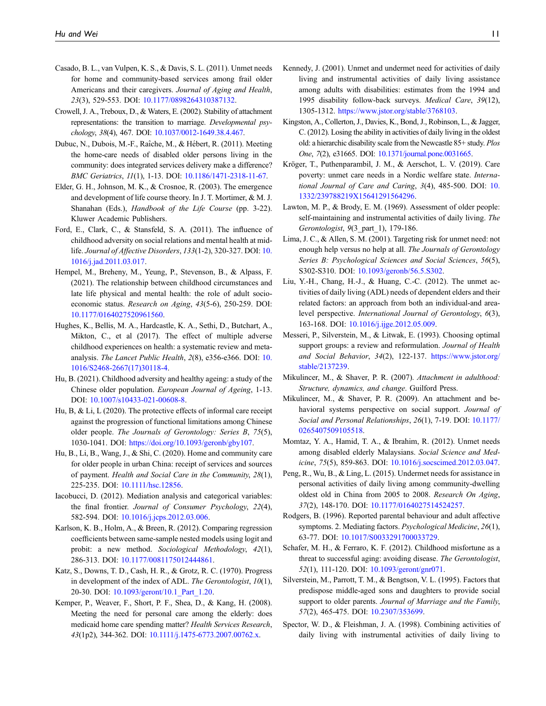- <span id="page-10-11"></span>Casado, B. L., van Vulpen, K. S., & Davis, S. L. (2011). Unmet needs for home and community-based services among frail older Americans and their caregivers. Journal of Aging and Health, 23(3), 529-553. DOI: [10.1177/0898264310387132](https://doi.org/10.1177/0898264310387132).
- <span id="page-10-23"></span>Crowell, J. A., Treboux, D., & Waters, E. (2002). Stability of attachment representations: the transition to marriage. Developmental psychology, 38(4), 467. DOI: [10.1037/0012-1649.38.4.467.](https://doi.org/10.1037/0012-1649.38.4.467)
- <span id="page-10-6"></span>Dubuc, N., Dubois, M.-F., Raîche, M., & Hébert, R. (2011). Meeting the home-care needs of disabled older persons living in the community: does integrated services delivery make a difference? BMC Geriatrics, 11(1), 1-13. DOI: [10.1186/1471-2318-11-67](https://doi.org/10.1186/1471-2318-11-67).
- <span id="page-10-2"></span>Elder, G. H., Johnson, M. K., & Crosnoe, R. (2003). The emergence and development of life course theory. In J. T. Mortimer, & M. J. Shanahan (Eds.), Handbook of the Life Course (pp. 3-22). Kluwer Academic Publishers.
- <span id="page-10-22"></span>Ford, E., Clark, C., & Stansfeld, S. A. (2011). The influence of childhood adversity on social relations and mental health at midlife. Journal of Affective Disorders, 133(1-2), 320-327. DOI: [10.](https://doi.org/10.1016/j.jad.2011.03.017) [1016/j.jad.2011.03.017](https://doi.org/10.1016/j.jad.2011.03.017).
- <span id="page-10-19"></span>Hempel, M., Breheny, M., Yeung, P., Stevenson, B., & Alpass, F. (2021). The relationship between childhood circumstances and late life physical and mental health: the role of adult socioeconomic status. Research on Aging, 43(5-6), 250-259. DOI: [10.1177/0164027520961560.](https://doi.org/10.1177/0164027520961560)
- <span id="page-10-17"></span>Hughes, K., Bellis, M. A., Hardcastle, K. A., Sethi, D., Butchart, A., Mikton, C., et al (2017). The effect of multiple adverse childhood experiences on health: a systematic review and metaanalysis. The Lancet Public Health, 2(8), e356-e366. DOI: [10.](https://doi.org/10.1016/S2468-2667(17)30118-4) [1016/S2468-2667\(17\)30118-4](https://doi.org/10.1016/S2468-2667(17)30118-4).
- <span id="page-10-20"></span>Hu, B. (2021). Childhood adversity and healthy ageing: a study of the Chinese older population. European Journal of Ageing, 1-13. DOI: [10.1007/s10433-021-00608-8](https://doi.org/10.1007/s10433-021-00608-8).
- <span id="page-10-0"></span>Hu, B, & Li, L (2020). The protective effects of informal care receipt against the progression of functional limitations among Chinese older people. The Journals of Gerontology: Series B, 75(5), 1030-1041. DOI: [https://doi.org/10.1093/geronb/gby107.](https://doi.org/10.1093/geronb/gby107)
- <span id="page-10-27"></span>Hu, B., Li, B., Wang, J., & Shi, C. (2020). Home and community care for older people in urban China: receipt of services and sources of payment. Health and Social Care in the Community, 28(1), 225-235. DOI: [10.1111/hsc.12856](https://doi.org/10.1111/hsc.12856).
- <span id="page-10-25"></span>Iacobucci, D. (2012). Mediation analysis and categorical variables: the final frontier. Journal of Consumer Psychology, 22(4), 582-594. DOI: [10.1016/j.jcps.2012.03.006.](https://doi.org/10.1016/j.jcps.2012.03.006)
- <span id="page-10-26"></span>Karlson, K. B., Holm, A., & Breen, R. (2012). Comparing regression coefficients between same-sample nested models using logit and probit: a new method. Sociological Methodology, 42(1), 286-313. DOI: [10.1177/0081175012444861.](https://doi.org/10.1177/0081175012444861)
- <span id="page-10-8"></span>Katz, S., Downs, T. D., Cash, H. R., & Grotz, R. C. (1970). Progress in development of the index of ADL. The Gerontologist, 10(1), 20-30. DOI: [10.1093/geront/10.1\\_Part\\_1.20](https://doi.org/10.1093/geront/10.1_Part_1.20).
- <span id="page-10-14"></span>Kemper, P., Weaver, F., Short, P. F., Shea, D., & Kang, H. (2008). Meeting the need for personal care among the elderly: does medicaid home care spending matter? Health Services Research, 43(1p2), 344-362. DOI: [10.1111/j.1475-6773.2007.00762.x](https://doi.org/10.1111/j.1475-6773.2007.00762.x).
- <span id="page-10-5"></span>Kennedy, J. (2001). Unmet and undermet need for activities of daily living and instrumental activities of daily living assistance among adults with disabilities: estimates from the 1994 and 1995 disability follow-back surveys. Medical Care, 39(12), 1305-1312. [https://www.jstor.org/stable/3768103.](https://www.jstor.org/stable/3768103)
- <span id="page-10-24"></span>Kingston, A., Collerton, J., Davies, K., Bond, J., Robinson, L., & Jagger, C. (2012). Losing the ability in activities of daily living in the oldest old: a hierarchic disability scale from the Newcastle 85+ study. Plos One, 7(2), e31665. DOI: [10.1371/journal.pone.0031665](https://doi.org/10.1371/journal.pone.0031665).
- <span id="page-10-13"></span>Kröger, T., Puthenparambil, J. M., & Aerschot, L. V. (2019). Care poverty: unmet care needs in a Nordic welfare state. International Journal of Care and Caring, 3(4), 485-500. DOI: [10.](https://doi.org/10.1332/239788219X15641291564296) [1332/239788219X15641291564296](https://doi.org/10.1332/239788219X15641291564296).
- <span id="page-10-9"></span>Lawton, M. P., & Brody, E. M. (1969). Assessment of older people: self-maintaining and instrumental activities of daily living. The Gerontologist, 9(3\_part\_1), 179-186.
- <span id="page-10-15"></span>Lima, J. C., & Allen, S. M. (2001). Targeting risk for unmet need: not enough help versus no help at all. The Journals of Gerontology Series B: Psychological Sciences and Social Sciences, 56(5), S302-S310. DOI: [10.1093/geronb/56.5.S302](https://doi.org/10.1093/geronb/56.5.S302).
- <span id="page-10-12"></span>Liu, Y.-H., Chang, H.-J., & Huang, C.-C. (2012). The unmet activities of daily living (ADL) needs of dependent elders and their related factors: an approach from both an individual-and arealevel perspective. International Journal of Gerontology, 6(3), 163-168. DOI: [10.1016/j.ijge.2012.05.009](https://doi.org/10.1016/j.ijge.2012.05.009).
- <span id="page-10-28"></span>Messeri, P., Silverstein, M., & Litwak, E. (1993). Choosing optimal support groups: a review and reformulation. Journal of Health and Social Behavior, 34(2), 122-137. [https://www.jstor.org/](https://www.jstor.org/stable/2137239) [stable/2137239.](https://www.jstor.org/stable/2137239)
- <span id="page-10-4"></span>Mikulincer, M., & Shaver, P. R. (2007). Attachment in adulthood: Structure, dynamics, and change. Guilford Press.
- <span id="page-10-3"></span>Mikulincer, M., & Shaver, P. R. (2009). An attachment and behavioral systems perspective on social support. *Journal of* Social and Personal Relationships, 26(1), 7-19. DOI: [10.1177/](https://doi.org/10.1177/0265407509105518) [0265407509105518.](https://doi.org/10.1177/0265407509105518)
- <span id="page-10-7"></span>Momtaz, Y. A., Hamid, T. A., & Ibrahim, R. (2012). Unmet needs among disabled elderly Malaysians. Social Science and Medicine, 75(5), 859-863. DOI: [10.1016/j.socscimed.2012.03.047.](https://doi.org/10.1016/j.socscimed.2012.03.047)
- <span id="page-10-1"></span>Peng, R., Wu, B., & Ling, L. (2015). Undermet needs for assistance in personal activities of daily living among community-dwelling oldest old in China from 2005 to 2008. Research On Aging, 37(2), 148-170. DOI: [10.1177/0164027514524257.](https://doi.org/10.1177/0164027514524257)
- <span id="page-10-21"></span>Rodgers, B. (1996). Reported parental behaviour and adult affective symptoms. 2. Mediating factors. Psychological Medicine, 26(1), 63-77. DOI: [10.1017/S0033291700033729.](https://doi.org/10.1017/S0033291700033729)
- <span id="page-10-18"></span>Schafer, M. H., & Ferraro, K. F. (2012). Childhood misfortune as a threat to successful aging: avoiding disease. The Gerontologist, 52(1), 111-120. DOI: [10.1093/geront/gnr071](https://doi.org/10.1093/geront/gnr071).
- <span id="page-10-16"></span>Silverstein, M., Parrott, T. M., & Bengtson, V. L. (1995). Factors that predispose middle-aged sons and daughters to provide social support to older parents. Journal of Marriage and the Family, 57(2), 465-475. DOI: [10.2307/353699](https://doi.org/10.2307/353699).
- <span id="page-10-10"></span>Spector, W. D., & Fleishman, J. A. (1998). Combining activities of daily living with instrumental activities of daily living to